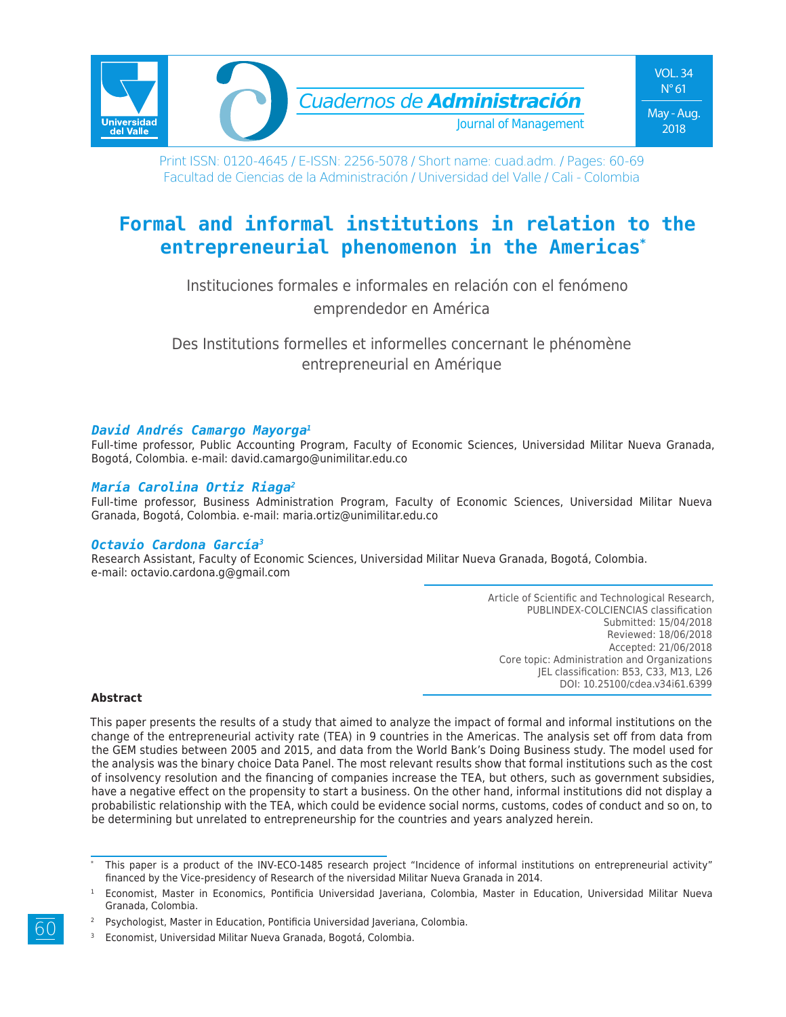

Print ISSN: 0120-4645 / E-ISSN: 2256-5078 / Short name: cuad.adm. / Pages: 60-69 Facultad de Ciencias de la Administración / Universidad del Valle / Cali - Colombia

# **Formal and informal institutions in relation to the entrepreneurial phenomenon in the Americas\***

Instituciones formales e informales en relación con el fenómeno emprendedor en América

Des Institutions formelles et informelles concernant le phénomène entrepreneurial en Amérique

#### *David Andrés Camargo Mayorga1*

Full-time professor, Public Accounting Program, Faculty of Economic Sciences, Universidad Militar Nueva Granada, Bogotá, Colombia. e-mail: david.camargo@unimilitar.edu.co

#### *María Carolina Ortiz Riaga2*

Full-time professor, Business Administration Program, Faculty of Economic Sciences, Universidad Militar Nueva Granada, Bogotá, Colombia. e-mail: maria.ortiz@unimilitar.edu.co

#### *Octavio Cardona García3*

Research Assistant, Faculty of Economic Sciences, Universidad Militar Nueva Granada, Bogotá, Colombia. e-mail: octavio.cardona.g@gmail.com

> Article of Scientific and Technological Research, PUBLINDEX-COLCIENCIAS classification Submitted: 15/04/2018 Reviewed: 18/06/2018 Accepted: 21/06/2018 Core topic: Administration and Organizations JEL classification: B53, C33, M13, L26 DOI: 10.25100/cdea.v34i61.6399

#### **Abstract**

This paper presents the results of a study that aimed to analyze the impact of formal and informal institutions on the change of the entrepreneurial activity rate (TEA) in 9 countries in the Americas. The analysis set off from data from the GEM studies between 2005 and 2015, and data from the World Bank's Doing Business study. The model used for the analysis was the binary choice Data Panel. The most relevant results show that formal institutions such as the cost of insolvency resolution and the financing of companies increase the TEA, but others, such as government subsidies, have a negative effect on the propensity to start a business. On the other hand, informal institutions did not display a probabilistic relationship with the TEA, which could be evidence social norms, customs, codes of conduct and so on, to be determining but unrelated to entrepreneurship for the countries and years analyzed herein.

<sup>3</sup> Economist, Universidad Militar Nueva Granada, Bogotá, Colombia.

This paper is a product of the INV-ECO-1485 research project "Incidence of informal institutions on entrepreneurial activity" financed by the Vice-presidency of Research of the niversidad Militar Nueva Granada in 2014.

<sup>1</sup> Economist, Master in Economics, Pontificia Universidad Javeriana, Colombia, Master in Education, Universidad Militar Nueva Granada, Colombia.

Psychologist, Master in Education, Pontificia Universidad Javeriana, Colombia.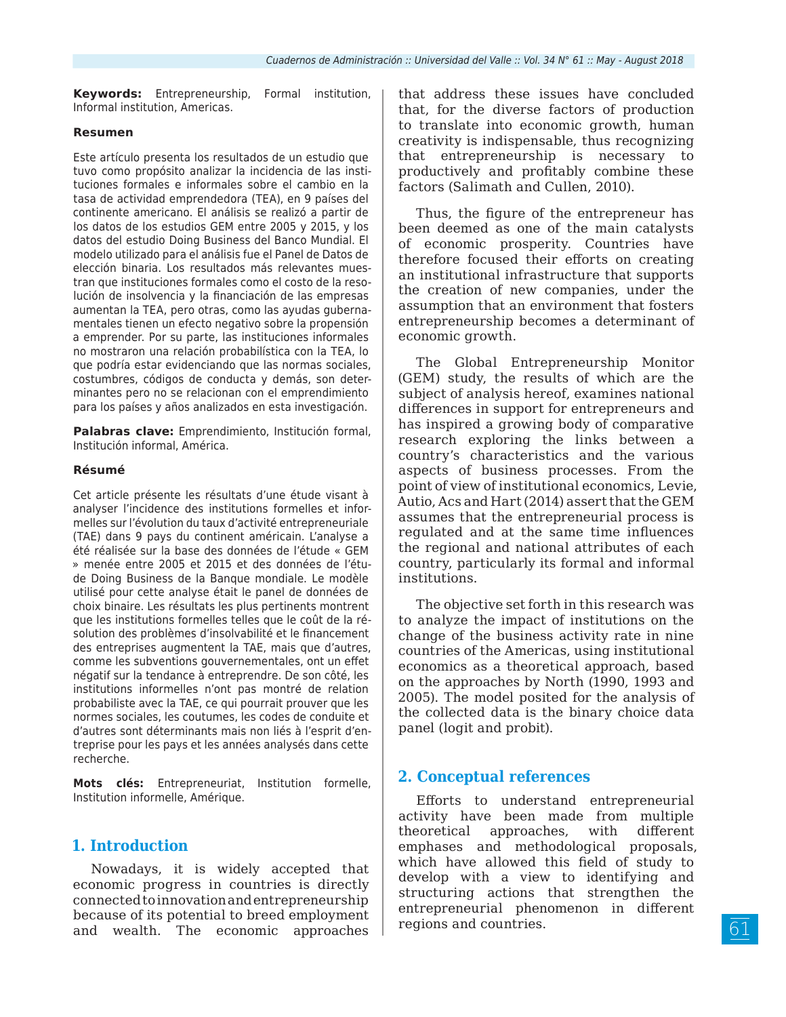**Keywords:** Entrepreneurship, Formal institution, Informal institution, Americas.

#### **Resumen**

Este artículo presenta los resultados de un estudio que tuvo como propósito analizar la incidencia de las instituciones formales e informales sobre el cambio en la tasa de actividad emprendedora (TEA), en 9 países del continente americano. El análisis se realizó a partir de los datos de los estudios GEM entre 2005 y 2015, y los datos del estudio Doing Business del Banco Mundial. El modelo utilizado para el análisis fue el Panel de Datos de elección binaria. Los resultados más relevantes muestran que instituciones formales como el costo de la resolución de insolvencia y la financiación de las empresas aumentan la TEA, pero otras, como las ayudas gubernamentales tienen un efecto negativo sobre la propensión a emprender. Por su parte, las instituciones informales no mostraron una relación probabilística con la TEA, lo que podría estar evidenciando que las normas sociales, costumbres, códigos de conducta y demás, son determinantes pero no se relacionan con el emprendimiento para los países y años analizados en esta investigación.

**Palabras clave:** Emprendimiento, Institución formal, Institución informal, América.

#### **Résumé**

Cet article présente les résultats d'une étude visant à analyser l'incidence des institutions formelles et informelles sur l'évolution du taux d'activité entrepreneuriale (TAE) dans 9 pays du continent américain. L'analyse a été réalisée sur la base des données de l'étude « GEM » menée entre 2005 et 2015 et des données de l'étude Doing Business de la Banque mondiale. Le modèle utilisé pour cette analyse était le panel de données de choix binaire. Les résultats les plus pertinents montrent que les institutions formelles telles que le coût de la résolution des problèmes d'insolvabilité et le financement des entreprises augmentent la TAE, mais que d'autres, comme les subventions gouvernementales, ont un effet négatif sur la tendance à entreprendre. De son côté, les institutions informelles n'ont pas montré de relation probabiliste avec la TAE, ce qui pourrait prouver que les normes sociales, les coutumes, les codes de conduite et d'autres sont déterminants mais non liés à l'esprit d'entreprise pour les pays et les années analysés dans cette recherche.

**Mots clés:** Entrepreneuriat, Institution formelle, Institution informelle, Amérique.

### **1. Introduction**

Nowadays, it is widely accepted that economic progress in countries is directly connected to innovation and entrepreneurship because of its potential to breed employment and wealth. The economic approaches

that address these issues have concluded that, for the diverse factors of production to translate into economic growth, human creativity is indispensable, thus recognizing that entrepreneurship is necessary to productively and profitably combine these factors (Salimath and Cullen, 2010).

Thus, the figure of the entrepreneur has been deemed as one of the main catalysts of economic prosperity. Countries have therefore focused their efforts on creating an institutional infrastructure that supports the creation of new companies, under the assumption that an environment that fosters entrepreneurship becomes a determinant of economic growth.

The Global Entrepreneurship Monitor (GEM) study, the results of which are the subject of analysis hereof, examines national differences in support for entrepreneurs and has inspired a growing body of comparative research exploring the links between a country's characteristics and the various aspects of business processes. From the point of view of institutional economics, Levie, Autio, Acs and Hart (2014) assert that the GEM assumes that the entrepreneurial process is regulated and at the same time influences the regional and national attributes of each country, particularly its formal and informal institutions.

The objective set forth in this research was to analyze the impact of institutions on the change of the business activity rate in nine countries of the Americas, using institutional economics as a theoretical approach, based on the approaches by North (1990, 1993 and 2005). The model posited for the analysis of the collected data is the binary choice data panel (logit and probit).

### **2. Conceptual references**

Efforts to understand entrepreneurial activity have been made from multiple theoretical approaches, with different emphases and methodological proposals, which have allowed this field of study to develop with a view to identifying and structuring actions that strengthen the entrepreneurial phenomenon in different regions and countries.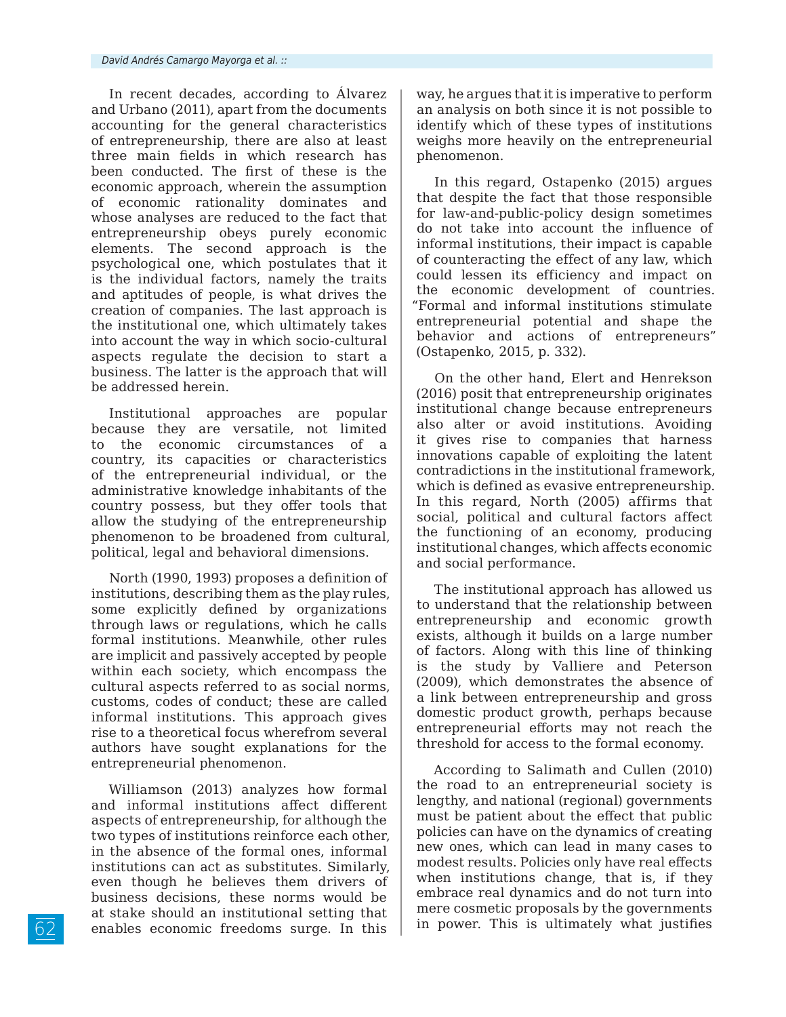In recent decades, according to Álvarez and Urbano (2011), apart from the documents accounting for the general characteristics of entrepreneurship, there are also at least three main fields in which research has been conducted. The first of these is the economic approach, wherein the assumption of economic rationality dominates and whose analyses are reduced to the fact that entrepreneurship obeys purely economic elements. The second approach is the psychological one, which postulates that it is the individual factors, namely the traits and aptitudes of people, is what drives the creation of companies. The last approach is the institutional one, which ultimately takes into account the way in which socio-cultural aspects regulate the decision to start a business. The latter is the approach that will be addressed herein.

Institutional approaches are popular because they are versatile, not limited to the economic circumstances of a country, its capacities or characteristics of the entrepreneurial individual, or the administrative knowledge inhabitants of the country possess, but they offer tools that allow the studying of the entrepreneurship phenomenon to be broadened from cultural, political, legal and behavioral dimensions.

North (1990, 1993) proposes a definition of institutions, describing them as the play rules, some explicitly defined by organizations through laws or regulations, which he calls formal institutions. Meanwhile, other rules are implicit and passively accepted by people within each society, which encompass the cultural aspects referred to as social norms, customs, codes of conduct; these are called informal institutions. This approach gives rise to a theoretical focus wherefrom several authors have sought explanations for the entrepreneurial phenomenon.

Williamson (2013) analyzes how formal and informal institutions affect different aspects of entrepreneurship, for although the two types of institutions reinforce each other, in the absence of the formal ones, informal institutions can act as substitutes. Similarly, even though he believes them drivers of business decisions, these norms would be at stake should an institutional setting that enables economic freedoms surge. In this

way, he argues that it is imperative to perform an analysis on both since it is not possible to identify which of these types of institutions weighs more heavily on the entrepreneurial phenomenon.

In this regard, Ostapenko (2015) argues that despite the fact that those responsible for law-and-public-policy design sometimes do not take into account the influence of informal institutions, their impact is capable of counteracting the effect of any law, which could lessen its efficiency and impact on the economic development of countries. "Formal and informal institutions stimulate entrepreneurial potential and shape the behavior and actions of entrepreneurs" (Ostapenko, 2015, p. 332).

On the other hand, Elert and Henrekson (2016) posit that entrepreneurship originates institutional change because entrepreneurs also alter or avoid institutions. Avoiding it gives rise to companies that harness innovations capable of exploiting the latent contradictions in the institutional framework, which is defined as evasive entrepreneurship. In this regard, North (2005) affirms that social, political and cultural factors affect the functioning of an economy, producing institutional changes, which affects economic and social performance.

The institutional approach has allowed us to understand that the relationship between entrepreneurship and economic growth exists, although it builds on a large number of factors. Along with this line of thinking the study by Valliere and Peterson (2009), which demonstrates the absence of a link between entrepreneurship and gross domestic product growth, perhaps because entrepreneurial efforts may not reach the threshold for access to the formal economy.

According to Salimath and Cullen (2010) the road to an entrepreneurial society is lengthy, and national (regional) governments must be patient about the effect that public policies can have on the dynamics of creating new ones, which can lead in many cases to modest results. Policies only have real effects when institutions change, that is, if they embrace real dynamics and do not turn into mere cosmetic proposals by the governments in power. This is ultimately what justifies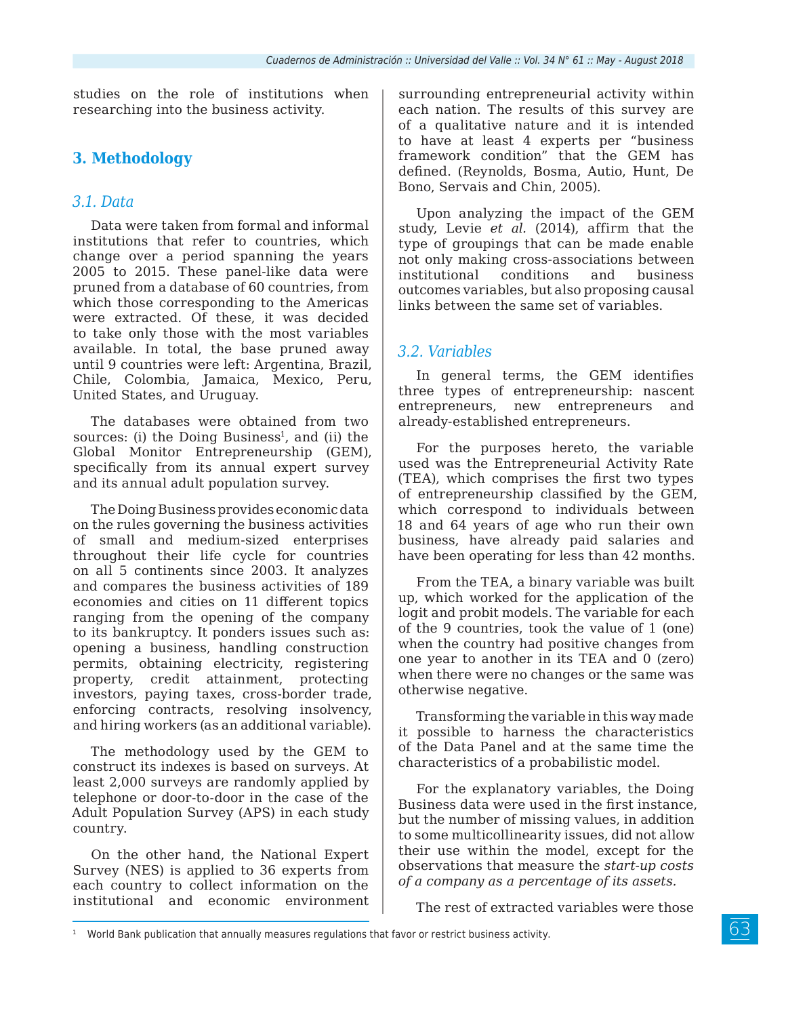studies on the role of institutions when researching into the business activity.

## **3. Methodology**

### *3.1. Data*

Data were taken from formal and informal institutions that refer to countries, which change over a period spanning the years 2005 to 2015. These panel-like data were pruned from a database of 60 countries, from which those corresponding to the Americas were extracted. Of these, it was decided to take only those with the most variables available. In total, the base pruned away until 9 countries were left: Argentina, Brazil, Chile, Colombia, Jamaica, Mexico, Peru, United States, and Uruguay.

The databases were obtained from two sources: (i) the Doing Business<sup>1</sup>, and (ii) the Global Monitor Entrepreneurship (GEM), specifically from its annual expert survey and its annual adult population survey.

The Doing Business provides economic data on the rules governing the business activities of small and medium-sized enterprises throughout their life cycle for countries on all 5 continents since 2003. It analyzes and compares the business activities of 189 economies and cities on 11 different topics ranging from the opening of the company to its bankruptcy. It ponders issues such as: opening a business, handling construction permits, obtaining electricity, registering property, credit attainment, protecting investors, paying taxes, cross-border trade, enforcing contracts, resolving insolvency, and hiring workers (as an additional variable).

The methodology used by the GEM to construct its indexes is based on surveys. At least 2,000 surveys are randomly applied by telephone or door-to-door in the case of the Adult Population Survey (APS) in each study country.

On the other hand, the National Expert Survey (NES) is applied to 36 experts from each country to collect information on the institutional and economic environment surrounding entrepreneurial activity within each nation. The results of this survey are of a qualitative nature and it is intended to have at least 4 experts per "business framework condition" that the GEM has defined. (Reynolds, Bosma, Autio, Hunt, De Bono, Servais and Chin, 2005).

Upon analyzing the impact of the GEM study, Levie *et al.* (2014), affirm that the type of groupings that can be made enable not only making cross-associations between institutional conditions and business outcomes variables, but also proposing causal links between the same set of variables.

### *3.2. Variables*

In general terms, the GEM identifies three types of entrepreneurship: nascent entrepreneurs, new entrepreneurs and already-established entrepreneurs.

For the purposes hereto, the variable used was the Entrepreneurial Activity Rate (TEA), which comprises the first two types of entrepreneurship classified by the GEM, which correspond to individuals between 18 and 64 years of age who run their own business, have already paid salaries and have been operating for less than 42 months.

From the TEA, a binary variable was built up, which worked for the application of the logit and probit models. The variable for each of the 9 countries, took the value of 1 (one) when the country had positive changes from one year to another in its TEA and 0 (zero) when there were no changes or the same was otherwise negative.

Transforming the variable in this way made it possible to harness the characteristics of the Data Panel and at the same time the characteristics of a probabilistic model.

For the explanatory variables, the Doing Business data were used in the first instance, but the number of missing values, in addition to some multicollinearity issues, did not allow their use within the model, except for the observations that measure the *start-up costs of a company as a percentage of its assets.*

The rest of extracted variables were those

 $1$  World Bank publication that annually measures regulations that favor or restrict business activity.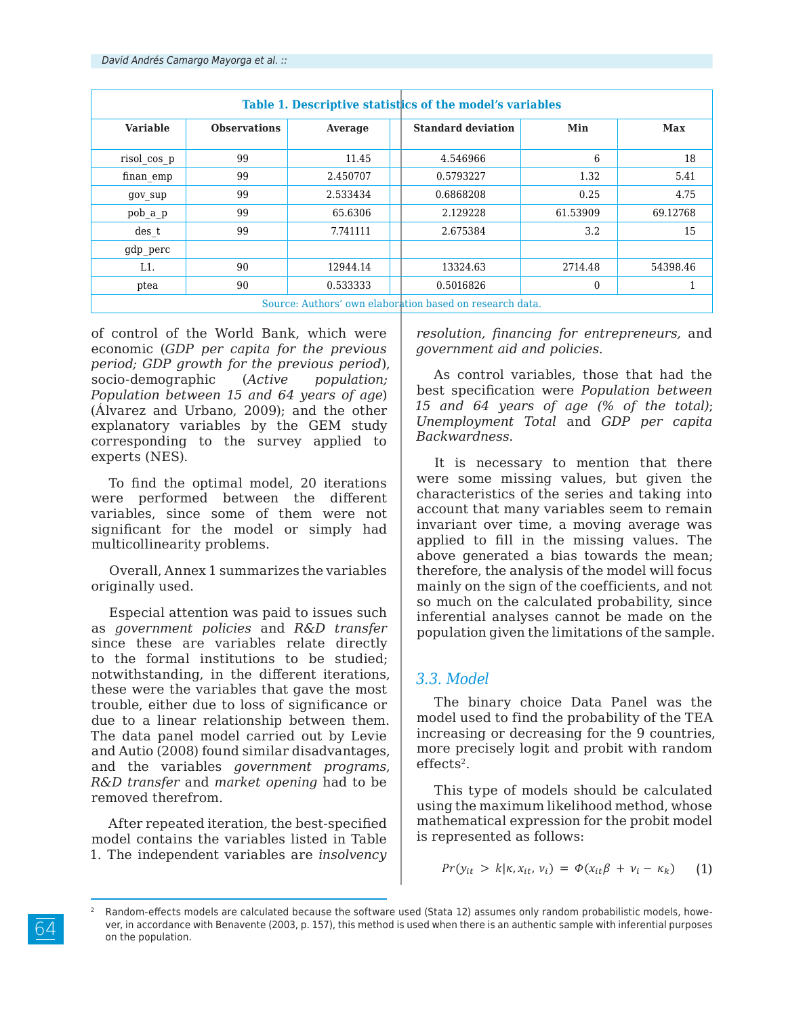| Table 1. Descriptive statistics of the model's variables |                     |          |                           |          |          |  |  |
|----------------------------------------------------------|---------------------|----------|---------------------------|----------|----------|--|--|
| <b>Variable</b>                                          | <b>Observations</b> | Average  | <b>Standard deviation</b> | Min      | Max      |  |  |
| risol cos p                                              | 99                  | 11.45    | 4.546966                  | 6        | 18       |  |  |
| finan_emp                                                | 99                  | 2.450707 | 0.5793227                 | 1.32     | 5.41     |  |  |
| gov sup                                                  | 99                  | 2.533434 | 0.6868208                 | 0.25     | 4.75     |  |  |
| pob a p                                                  | 99                  | 65.6306  | 2.129228                  | 61.53909 | 69.12768 |  |  |
| des t                                                    | 99                  | 7.741111 | 2.675384                  | 3.2      | 15       |  |  |
| gdp perc                                                 |                     |          |                           |          |          |  |  |
| L1.                                                      | 90                  | 12944.14 | 13324.63                  | 2714.48  | 54398.46 |  |  |
| ptea                                                     | 90                  | 0.533333 | 0.5016826                 | $\Omega$ |          |  |  |
| Source: Authors' own elaboration based on research data. |                     |          |                           |          |          |  |  |

of control of the World Bank, which were economic (*GDP per capita for the previous period; GDP growth for the previous period*), socio-demographic (*Active population; Population between 15 and 64 years of age*) (Álvarez and Urbano, 2009); and the other explanatory variables by the GEM study corresponding to the survey applied to experts (NES).

To find the optimal model, 20 iterations were performed between the different variables, since some of them were not significant for the model or simply had multicollinearity problems.

Overall, Annex 1 summarizes the variables originally used.

Especial attention was paid to issues such as *government policies* and *R&D transfer* since these are variables relate directly to the formal institutions to be studied; notwithstanding, in the different iterations, these were the variables that gave the most trouble, either due to loss of significance or due to a linear relationship between them. The data panel model carried out by Levie and Autio (2008) found similar disadvantages, and the variables *government programs*, *R&D transfer* and *market opening* had to be removed therefrom.

After repeated iteration, the best-specified model contains the variables listed in Table 1. The independent variables are *insolvency*  *resolution, financing for entrepreneurs,* and *government aid and policies*.

As control variables, those that had the best specification were *Population between 15 and 64 years of age (% of the total)*; *Unemployment Total* and *GDP per capita Backwardness*.

It is necessary to mention that there were some missing values, but given the characteristics of the series and taking into account that many variables seem to remain invariant over time, a moving average was applied to fill in the missing values. The above generated a bias towards the mean; therefore, the analysis of the model will focus mainly on the sign of the coefficients, and not so much on the calculated probability, since inferential analyses cannot be made on the population given the limitations of the sample.

### *3.3. Model*

The binary choice Data Panel was the model used to find the probability of the TEA increasing or decreasing for the 9 countries, more precisely logit and probit with random effects<sup>2</sup>.

This type of models should be calculated using the maximum likelihood method, whose mathematical expression for the probit model is represented as follows:

$$
Pr(y_{it} > k | \kappa, x_{it}, v_i) = \Phi(x_{it}\beta + v_i - \kappa_k)
$$
 (1)

<sup>64</sup>

Random-effects models are calculated because the software used (Stata 12) assumes only random probabilistic models, however, in accordance with Benavente (2003, p. 157), this method is used when there is an authentic sample with inferential purposes on the population.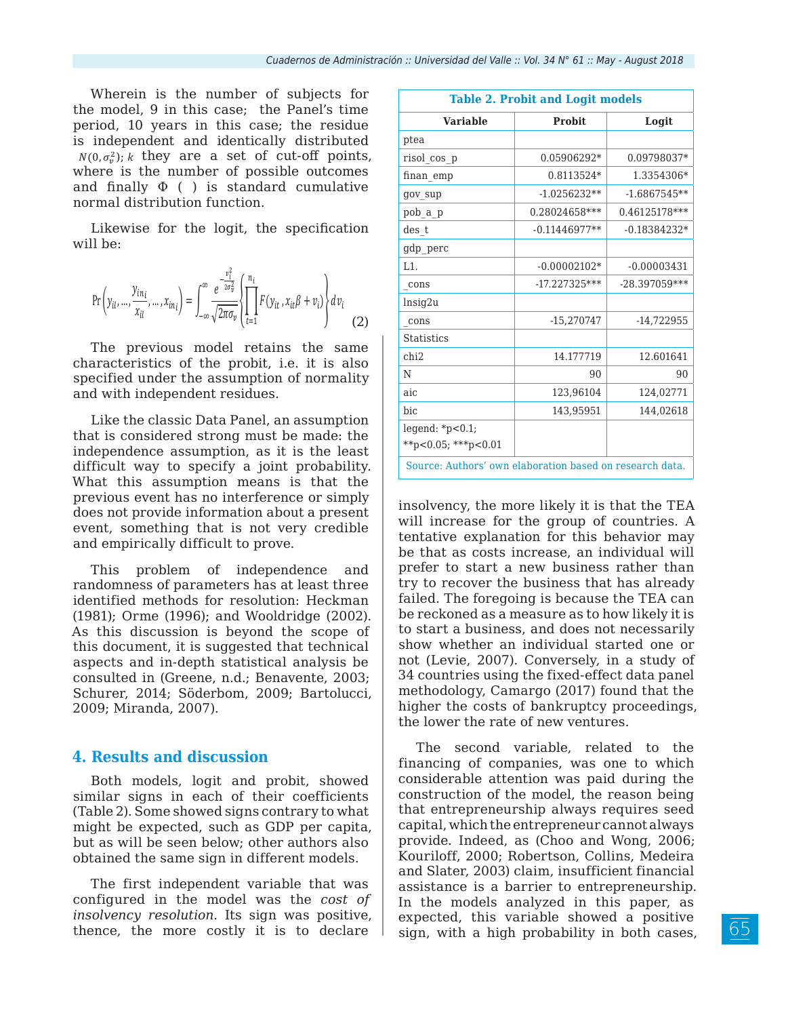Wherein is the number of subjects for the model, 9 in this case; the Panel's time period, 10 years in this case; the residue is independent and identically distributed  $N(0, \sigma_v^2)$ ; k they are a set of cut-off points, where is the number of possible outcomes and finally  $\Phi$  ( ) is standard cumulative normal distribution function.

Likewise for the logit, the specification will be:

$$
\Pr\left(y_{il},..., \frac{y_{in_i}}{x_{il}},..., x_{in_i}\right) = \int_{-\infty}^{\infty} \frac{e^{-\frac{v_i^2}{2\sigma_v^2}}}{\sqrt{2\pi\sigma_v}} \left\{ \prod_{t=1}^{n_i} F(y_{it}, x_{it}\beta + v_i) \right\} dv_i \tag{2}
$$

The previous model retains the same characteristics of the probit, i.e. it is also specified under the assumption of normality and with independent residues.

Like the classic Data Panel, an assumption that is considered strong must be made: the independence assumption, as it is the least difficult way to specify a joint probability. What this assumption means is that the previous event has no interference or simply does not provide information about a present event, something that is not very credible and empirically difficult to prove.

This problem of independence and randomness of parameters has at least three identified methods for resolution: Heckman (1981); Orme (1996); and Wooldridge (2002). As this discussion is beyond the scope of this document, it is suggested that technical aspects and in-depth statistical analysis be consulted in (Greene, n.d.; Benavente, 2003; Schurer, 2014; Söderbom, 2009; Bartolucci, 2009; Miranda, 2007).

#### **4. Results and discussion**

Both models, logit and probit, showed similar signs in each of their coefficients (Table 2). Some showed signs contrary to what might be expected, such as GDP per capita, but as will be seen below; other authors also obtained the same sign in different models.

The first independent variable that was configured in the model was the *cost of insolvency resolution.* Its sign was positive, thence, the more costly it is to declare

| <b>Table 2. Probit and Logit models</b>                  |                 |                 |  |  |  |  |
|----------------------------------------------------------|-----------------|-----------------|--|--|--|--|
| <b>Variable</b>                                          | <b>Probit</b>   | Logit           |  |  |  |  |
| ptea                                                     |                 |                 |  |  |  |  |
| risol_cos_p                                              | 0.05906292*     | 0.09798037*     |  |  |  |  |
| finan_emp                                                | 0.8113524*      | 1.3354306*      |  |  |  |  |
| gov sup                                                  | $-1.0256232**$  | $-1.6867545**$  |  |  |  |  |
| pob a p                                                  | 0.28024658***   | 0.46125178***   |  |  |  |  |
| des t                                                    | $-0.11446977**$ | $-0.18384232*$  |  |  |  |  |
| gdp_perc                                                 |                 |                 |  |  |  |  |
| L1.                                                      | $-0.00002102*$  | $-0.00003431$   |  |  |  |  |
| cons                                                     | $-17.227325***$ | $-28.397059***$ |  |  |  |  |
| lnsiq2u                                                  |                 |                 |  |  |  |  |
| cons                                                     | $-15,270747$    | -14,722955      |  |  |  |  |
| <b>Statistics</b>                                        |                 |                 |  |  |  |  |
| chi2                                                     | 14.177719       | 12.601641       |  |  |  |  |
| N                                                        | 90              | 90              |  |  |  |  |
| aic                                                      | 123,96104       | 124,02771       |  |  |  |  |
| bic                                                      | 143,95951       | 144,02618       |  |  |  |  |
| legend: $*$ p<0.1;<br>**p<0.05; ***p<0.01                |                 |                 |  |  |  |  |
| Source: Authors' own elaboration based on research data. |                 |                 |  |  |  |  |

insolvency, the more likely it is that the TEA will increase for the group of countries. A tentative explanation for this behavior may be that as costs increase, an individual will prefer to start a new business rather than try to recover the business that has already failed. The foregoing is because the TEA can be reckoned as a measure as to how likely it is to start a business, and does not necessarily show whether an individual started one or not (Levie, 2007). Conversely, in a study of 34 countries using the fixed-effect data panel methodology, Camargo (2017) found that the higher the costs of bankruptcy proceedings, the lower the rate of new ventures.

The second variable, related to the financing of companies, was one to which considerable attention was paid during the construction of the model, the reason being that entrepreneurship always requires seed capital, which the entrepreneur cannot always provide. Indeed, as (Choo and Wong, 2006; Kouriloff, 2000; Robertson, Collins, Medeira and Slater, 2003) claim, insufficient financial assistance is a barrier to entrepreneurship. In the models analyzed in this paper, as expected, this variable showed a positive sign, with a high probability in both cases,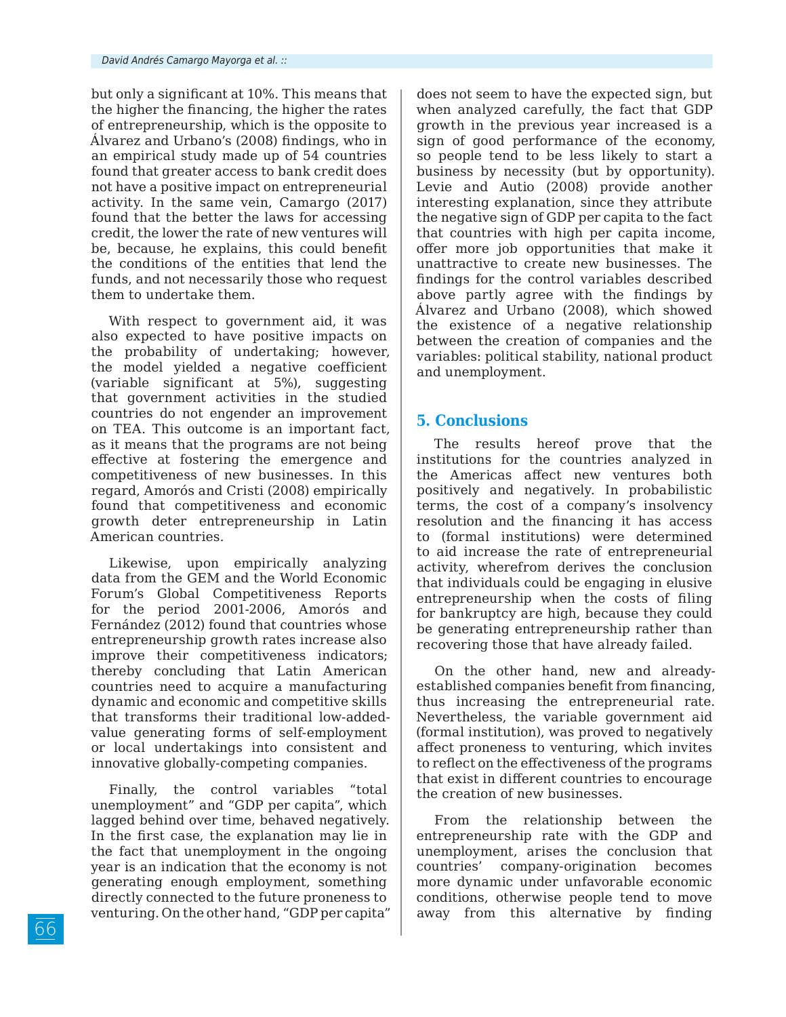but only a significant at 10%. This means that the higher the financing, the higher the rates of entrepreneurship, which is the opposite to Álvarez and Urbano's (2008) findings, who in an empirical study made up of 54 countries found that greater access to bank credit does not have a positive impact on entrepreneurial activity. In the same vein, Camargo (2017) found that the better the laws for accessing credit, the lower the rate of new ventures will be, because, he explains, this could benefit the conditions of the entities that lend the funds, and not necessarily those who request them to undertake them.

With respect to government aid, it was also expected to have positive impacts on the probability of undertaking; however, the model yielded a negative coefficient (variable significant at 5%), suggesting that government activities in the studied countries do not engender an improvement on TEA. This outcome is an important fact, as it means that the programs are not being effective at fostering the emergence and competitiveness of new businesses. In this regard, Amorós and Cristi (2008) empirically found that competitiveness and economic growth deter entrepreneurship in Latin American countries.

Likewise, upon empirically analyzing data from the GEM and the World Economic Forum's Global Competitiveness Reports for the period 2001-2006, Amorós and Fernández (2012) found that countries whose entrepreneurship growth rates increase also improve their competitiveness indicators; thereby concluding that Latin American countries need to acquire a manufacturing dynamic and economic and competitive skills that transforms their traditional low-addedvalue generating forms of self-employment or local undertakings into consistent and innovative globally-competing companies.

Finally, the control variables "total unemployment" and "GDP per capita", which lagged behind over time, behaved negatively. In the first case, the explanation may lie in the fact that unemployment in the ongoing year is an indication that the economy is not generating enough employment, something directly connected to the future proneness to venturing. On the other hand, "GDP per capita"

does not seem to have the expected sign, but when analyzed carefully, the fact that GDP growth in the previous year increased is a sign of good performance of the economy, so people tend to be less likely to start a business by necessity (but by opportunity). Levie and Autio (2008) provide another interesting explanation, since they attribute the negative sign of GDP per capita to the fact that countries with high per capita income, offer more job opportunities that make it unattractive to create new businesses. The findings for the control variables described above partly agree with the findings by Álvarez and Urbano (2008), which showed the existence of a negative relationship between the creation of companies and the variables: political stability, national product and unemployment.

### **5. Conclusions**

The results hereof prove that the institutions for the countries analyzed in the Americas affect new ventures both positively and negatively. In probabilistic terms, the cost of a company's insolvency resolution and the financing it has access to (formal institutions) were determined to aid increase the rate of entrepreneurial activity, wherefrom derives the conclusion that individuals could be engaging in elusive entrepreneurship when the costs of filing for bankruptcy are high, because they could be generating entrepreneurship rather than recovering those that have already failed.

On the other hand, new and alreadyestablished companies benefit from financing, thus increasing the entrepreneurial rate. Nevertheless, the variable government aid (formal institution), was proved to negatively affect proneness to venturing, which invites to reflect on the effectiveness of the programs that exist in different countries to encourage the creation of new businesses.

From the relationship between the entrepreneurship rate with the GDP and unemployment, arises the conclusion that countries' company-origination becomes more dynamic under unfavorable economic conditions, otherwise people tend to move away from this alternative by finding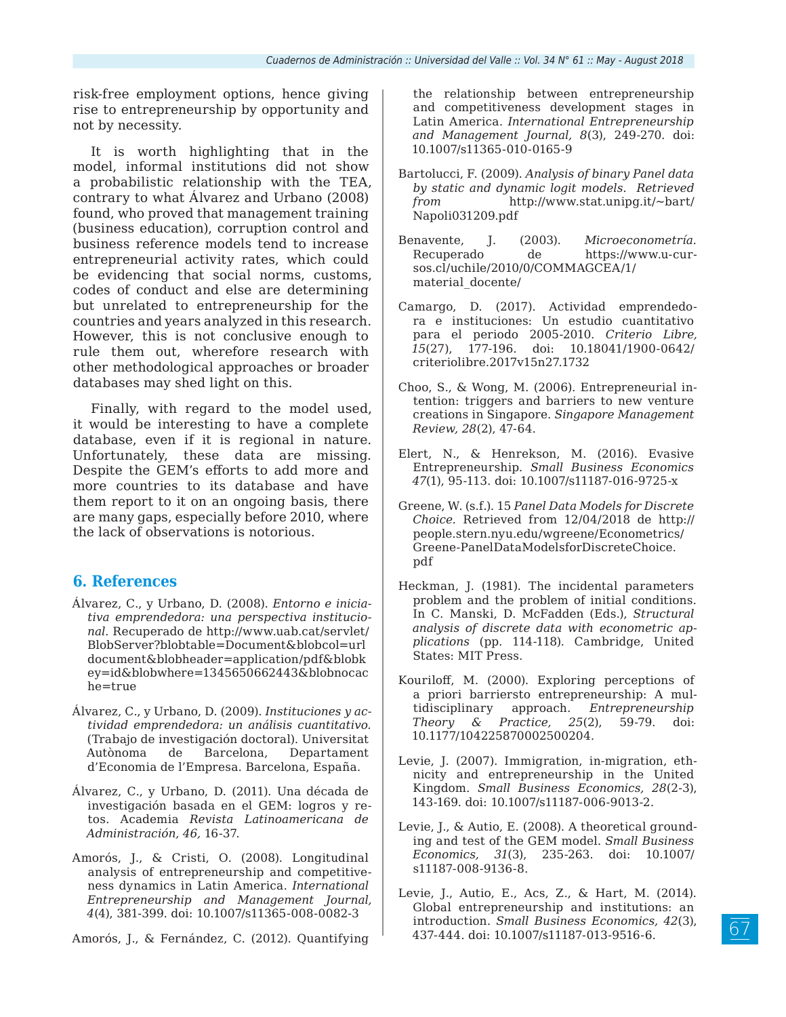risk-free employment options, hence giving rise to entrepreneurship by opportunity and not by necessity.

It is worth highlighting that in the model, informal institutions did not show a probabilistic relationship with the TEA, contrary to what Álvarez and Urbano (2008) found, who proved that management training (business education), corruption control and business reference models tend to increase entrepreneurial activity rates, which could be evidencing that social norms, customs, codes of conduct and else are determining but unrelated to entrepreneurship for the countries and years analyzed in this research. However, this is not conclusive enough to rule them out, wherefore research with other methodological approaches or broader databases may shed light on this.

Finally, with regard to the model used, it would be interesting to have a complete database, even if it is regional in nature. Unfortunately, these data are missing. Despite the GEM's efforts to add more and more countries to its database and have them report to it on an ongoing basis, there are many gaps, especially before 2010, where the lack of observations is notorious.

### **6. References**

- Álvarez, C., y Urbano, D. (2008). *Entorno e iniciativa emprendedora: una perspectiva institucional.* Recuperado de http://www.uab.cat/servlet/ BlobServer?blobtable=Document&blobcol=url document&blobheader=application/pdf&blobk ey=id&blobwhere=1345650662443&blobnocac he=true
- Álvarez, C., y Urbano, D. (2009). *Instituciones y actividad emprendedora: un análisis cuantitativo.* (Trabajo de investigación doctoral). Universitat Autònoma de Barcelona, Departament d'Economia de l'Empresa. Barcelona, España.
- Álvarez, C., y Urbano, D. (2011). Una década de investigación basada en el GEM: logros y retos. Academia *Revista Latinoamericana de Administración, 46,* 16-37.
- Amorós, J., & Cristi, O. (2008). Longitudinal analysis of entrepreneurship and competitiveness dynamics in Latin America. *International Entrepreneurship and Management Journal, 4*(4), 381-399. doi: 10.1007/s11365-008-0082-3

Amorós, J., & Fernández, C. (2012). Quantifying

the relationship between entrepreneurship and competitiveness development stages in Latin America. *International Entrepreneurship and Management Journal, 8*(3), 249-270. doi: 10.1007/s11365-010-0165-9

- Bartolucci, F. (2009). *Analysis of binary Panel data by static and dynamic logit models. Retrieved from* http://www.stat.unipg.it/~bart/ Napoli031209.pdf
- Benavente, J. (2003). *Microeconometría.*  Recuperado de https://www.u-cursos.cl/uchile/2010/0/COMMAGCEA/1/ material\_docente/
- Camargo, D. (2017). Actividad emprendedora e instituciones: Un estudio cuantitativo para el periodo 2005-2010. *Criterio Libre, 15*(27), 177-196. doi: 10.18041/1900-0642/ criteriolibre.2017v15n27.1732
- Choo, S., & Wong, M. (2006). Entrepreneurial intention: triggers and barriers to new venture creations in Singapore. *Singapore Management Review, 28*(2), 47-64.
- Elert, N., & Henrekson, M. (2016). Evasive Entrepreneurship. *Small Business Economics 47*(1), 95-113. doi: 10.1007/s11187-016-9725-x
- Greene, W. (s.f.). 15 *Panel Data Models for Discrete Choice.* Retrieved from 12/04/2018 de http:// people.stern.nyu.edu/wgreene/Econometrics/ Greene-PanelDataModelsforDiscreteChoice. pdf
- Heckman, J. (1981). The incidental parameters problem and the problem of initial conditions. In C. Manski, D. McFadden (Eds.), *Structural analysis of discrete data with econometric applications* (pp. 114-118). Cambridge, United States: MIT Press.
- Kouriloff, M. (2000). Exploring perceptions of a priori barriersto entrepreneurship: A multidisciplinary approach. *Entrepreneurship Theory & Practice, 25*(2), 59-79. doi: 10.1177/104225870002500204.
- Levie, J. (2007). Immigration, in-migration, ethnicity and entrepreneurship in the United Kingdom. *Small Business Economics, 28*(2-3), 143-169. doi: 10.1007/s11187-006-9013-2.
- Levie, J., & Autio, E. (2008). A theoretical grounding and test of the GEM model. *Small Business Economics, 31*(3), 235-263. doi: 10.1007/ s11187-008-9136-8.
- Levie, J., Autio, E., Acs, Z., & Hart, M. (2014). Global entrepreneurship and institutions: an introduction. *Small Business Economics, 42*(3), 437-444. doi: 10.1007/s11187-013-9516-6.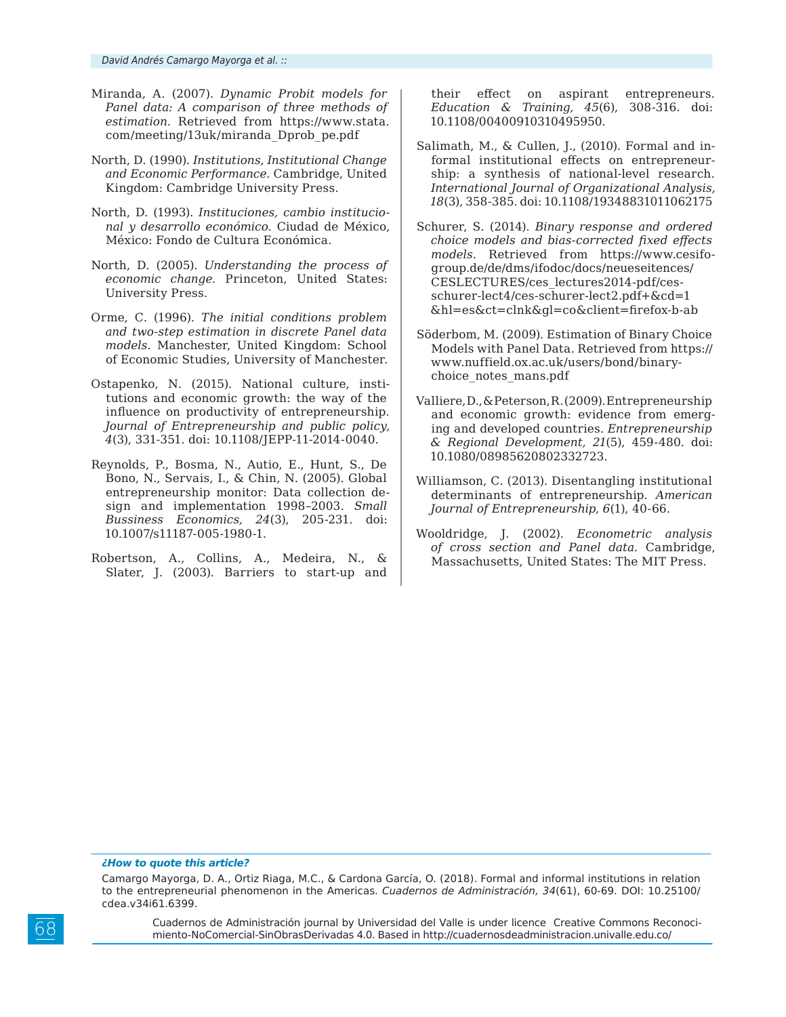- Miranda, A. (2007). *Dynamic Probit models for Panel data: A comparison of three methods of estimation.* Retrieved from https://www.stata. com/meeting/13uk/miranda\_Dprob\_pe.pdf
- North, D. (1990). *Institutions, Institutional Change and Economic Performance.* Cambridge, United Kingdom: Cambridge University Press.
- North, D. (1993). *Instituciones, cambio institucional y desarrollo económico.* Ciudad de México, México: Fondo de Cultura Económica.
- North, D. (2005). *Understanding the process of economic change.* Princeton, United States: University Press.
- Orme, C. (1996). *The initial conditions problem and two-step estimation in discrete Panel data models.* Manchester, United Kingdom: School of Economic Studies, University of Manchester.
- Ostapenko, N. (2015). National culture, institutions and economic growth: the way of the influence on productivity of entrepreneurship. *Journal of Entrepreneurship and public policy, 4*(3), 331-351. doi: 10.1108/JEPP-11-2014-0040.
- Reynolds, P., Bosma, N., Autio, E., Hunt, S., De Bono, N., Servais, I., & Chin, N. (2005). Global entrepreneurship monitor: Data collection design and implementation 1998–2003. *Small Bussiness Economics, 24*(3), 205-231. doi: 10.1007/s11187-005-1980-1.
- Robertson, A., Collins, A., Medeira, N., & Slater, J. (2003). Barriers to start-up and

their effect on aspirant entrepreneurs. *Education & Training, 45*(6), 308-316. doi: 10.1108/00400910310495950.

- Salimath, M., & Cullen, J., (2010). Formal and informal institutional effects on entrepreneurship: a synthesis of national-level research. *International Journal of Organizational Analysis, 18*(3), 358-385. doi: 10.1108/19348831011062175
- Schurer, S. (2014). *Binary response and ordered choice models and bias-corrected fixed effects models.* Retrieved from https://www.cesifogroup.de/de/dms/ifodoc/docs/neueseitences/ CESLECTURES/ces\_lectures2014-pdf/cesschurer-lect4/ces-schurer-lect2.pdf+&cd=1 &hl=es&ct=clnk&gl=co&client=firefox-b-ab
- Söderbom, M. (2009). Estimation of Binary Choice Models with Panel Data. Retrieved from https:// www.nuffield.ox.ac.uk/users/bond/binarychoice\_notes\_mans.pdf
- Valliere, D., & Peterson, R. (2009). Entrepreneurship and economic growth: evidence from emerging and developed countries. *Entrepreneurship & Regional Development, 21*(5), 459-480. doi: 10.1080/08985620802332723.
- Williamson, C. (2013). Disentangling institutional determinants of entrepreneurship. *American Journal of Entrepreneurship, 6*(1), 40-66.
- Wooldridge, J. (2002). *Econometric analysis of cross section and Panel data.* Cambridge, Massachusetts, United States: The MIT Press.

#### *¿How to quote this article?*

Cuadernos de Administración journal by Universidad del Valle is under licence Creative Commons Reconocimiento-NoComercial-SinObrasDerivadas 4.0. Based in http://cuadernosdeadministracion.univalle.edu.co/

Camargo Mayorga, D. A., Ortiz Riaga, M.C., & Cardona García, O. (2018). Formal and informal institutions in relation to the entrepreneurial phenomenon in the Americas. *Cuadernos de Administración, 34*(61), 60-69. DOI: 10.25100/ cdea.v34i61.6399.